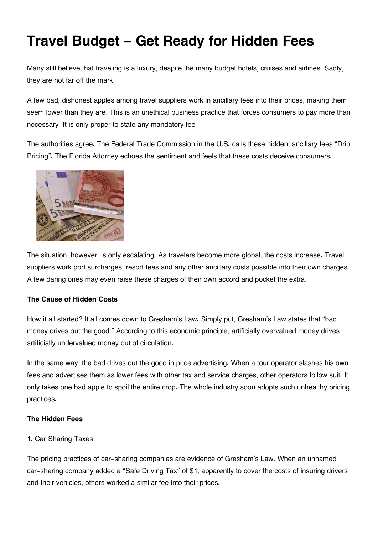# **Travel Budget – Get Ready for Hidden Fees**

Many still believe that traveling is a luxury, despite the many budget hotels, cruises and airlines. Sadly, they are not far off the mark.

A few bad, dishonest apples among travel suppliers work in ancillary fees into their prices, making them seem lower than they are. This is an unethical business practice that forces consumers to pay more than necessary. It is only proper to state any mandatory fee.

The authorities agree. The Federal Trade Commission in the U.S. calls these hidden, ancillary fees "Drip Pricing". The Florida Attorney echoes the sentiment and feels that these costs deceive consumers.



The situation, however, is only escalating. As travelers become more global, the costs increase. Travel suppliers work port surcharges, resort fees and any other ancillary costs possible into their own charges. A few daring ones may even raise these charges of their own accord and pocket the extra.

### **The Cause of Hidden Costs**

How it all started? It all comes down to Gresham's Law. Simply put, Gresham's Law states that "bad money drives out the good." According to this economic principle, artificially overvalued money drives artificially undervalued money out of circulation.

In the same way, the bad drives out the good in price advertising. When a tour operator slashes his own fees and advertises them as lower fees with other tax and service charges, other operators follow suit. It only takes one bad apple to spoil the entire crop. The whole industry soon adopts such unhealthy pricing practices.

## **The Hidden Fees**

## 1. Car Sharing Taxes

The pricing practices of car-sharing companies are evidence of Gresham's Law. When an unnamed car-sharing company added a "Safe Driving Tax" of \$1, apparently to cover the costs of insuring drivers and their vehicles, others worked a similar fee into their prices.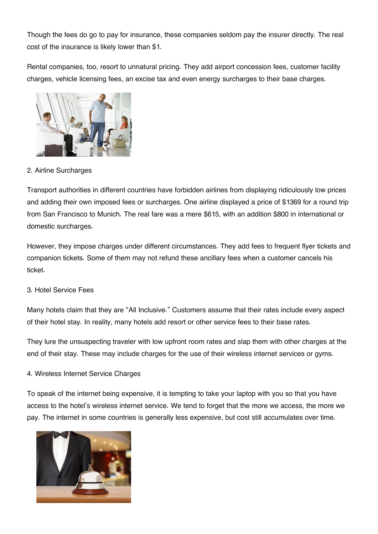Though the fees do go to pay for insurance, these companies seldom pay the insurer directly. The real cost of the insurance is likely lower than \$1.

Rental companies, too, resort to unnatural pricing. They add airport concession fees, customer facility charges, vehicle licensing fees, an excise tax and even energy surcharges to their base charges.



2. Airline Surcharges

Transport authorities in different countries have forbidden airlines from displaying ridiculously low prices and adding their own imposed fees or surcharges. One airline displayed a price of \$1369 for a round trip from San Francisco to Munich. The real fare was a mere \$615, with an addition \$800 in international or domestic surcharges.

However, they impose charges under different circumstances. They add fees to frequent flyer tickets and companion tickets. Some of them may not refund these ancillary fees when a customer cancels his ticket.

### 3. Hotel Service Fees

Many hotels claim that they are "All Inclusive." Customers assume that their rates include every aspect of their hotel stay. In reality, many hotels add resort or other service fees to their base rates.

They lure the unsuspecting traveler with low upfront room rates and slap them with other charges at the end of their stay. These may include charges for the use of their wireless internet services or gyms.

### 4. Wireless Internet Service Charges

To speak of the internet being expensive, it is tempting to take your laptop with you so that you have access to the hotel's wireless internet service. We tend to forget that the more we access, the more we pay. The internet in some countries is generally less expensive, but cost still accumulates over time.